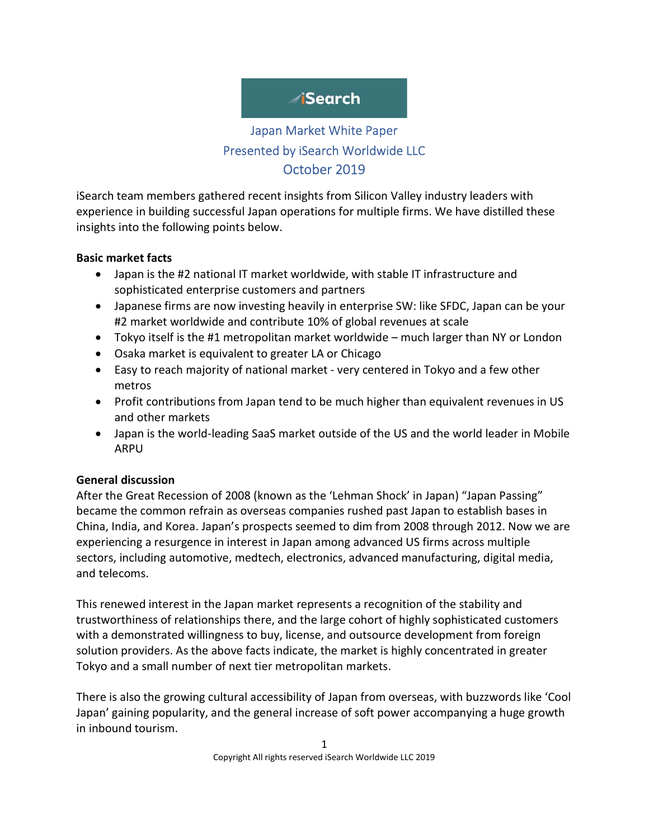# **Search**

 $\vert$ 

## Japan Market White Paper Presented by iSearch Worldwide LLC October 2019

iSearch team members gathered recent insights from Silicon Valley industry leaders with experience in building successful Japan operations for multiple firms. We have distilled these insights into the following points below.

#### Basic market facts

- Japan is the #2 national IT market worldwide, with stable IT infrastructure and sophisticated enterprise customers and partners
- Japanese firms are now investing heavily in enterprise SW: like SFDC, Japan can be your #2 market worldwide and contribute 10% of global revenues at scale
- Tokyo itself is the #1 metropolitan market worldwide much larger than NY or London
- Osaka market is equivalent to greater LA or Chicago
- Easy to reach majority of national market very centered in Tokyo and a few other metros
- Profit contributions from Japan tend to be much higher than equivalent revenues in US and other markets
- Japan is the world-leading SaaS market outside of the US and the world leader in Mobile ARPU

#### General discussion

After the Great Recession of 2008 (known as the 'Lehman Shock' in Japan) "Japan Passing" became the common refrain as overseas companies rushed past Japan to establish bases in China, India, and Korea. Japan's prospects seemed to dim from 2008 through 2012. Now we are experiencing a resurgence in interest in Japan among advanced US firms across multiple sectors, including automotive, medtech, electronics, advanced manufacturing, digital media, and telecoms.

This renewed interest in the Japan market represents a recognition of the stability and trustworthiness of relationships there, and the large cohort of highly sophisticated customers with a demonstrated willingness to buy, license, and outsource development from foreign solution providers. As the above facts indicate, the market is highly concentrated in greater Tokyo and a small number of next tier metropolitan markets.

There is also the growing cultural accessibility of Japan from overseas, with buzzwords like 'Cool Japan' gaining popularity, and the general increase of soft power accompanying a huge growth in inbound tourism.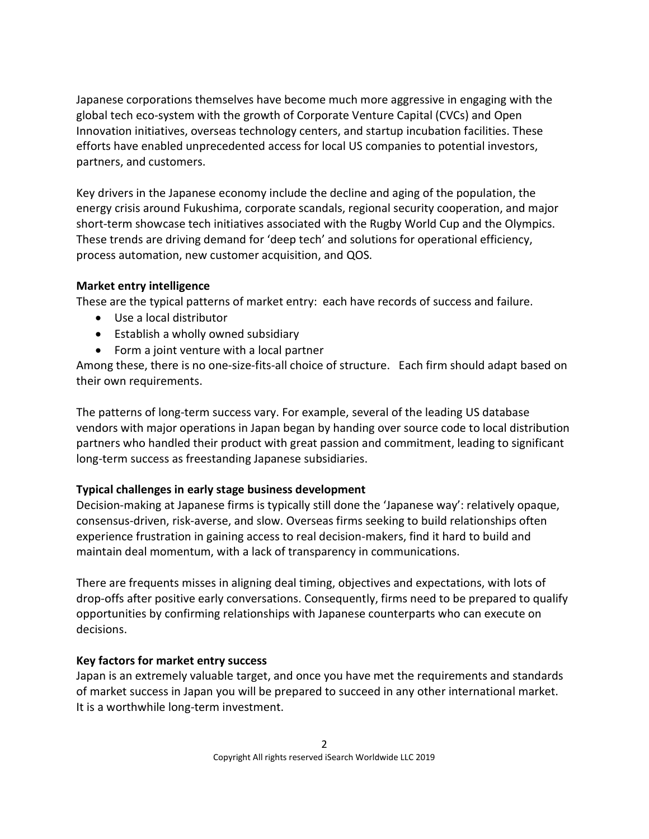Japanese corporations themselves have become much more aggressive in engaging with the global tech eco-system with the growth of Corporate Venture Capital (CVCs) and Open Innovation initiatives, overseas technology centers, and startup incubation facilities. These efforts have enabled unprecedented access for local US companies to potential investors, partners, and customers.

Key drivers in the Japanese economy include the decline and aging of the population, the energy crisis around Fukushima, corporate scandals, regional security cooperation, and major short-term showcase tech initiatives associated with the Rugby World Cup and the Olympics. These trends are driving demand for 'deep tech' and solutions for operational efficiency, process automation, new customer acquisition, and QOS.

#### Market entry intelligence

These are the typical patterns of market entry: each have records of success and failure.

- Use a local distributor
- Establish a wholly owned subsidiary
- Form a joint venture with a local partner

Among these, there is no one-size-fits-all choice of structure. Each firm should adapt based on their own requirements.

The patterns of long-term success vary. For example, several of the leading US database vendors with major operations in Japan began by handing over source code to local distribution partners who handled their product with great passion and commitment, leading to significant long-term success as freestanding Japanese subsidiaries.

#### Typical challenges in early stage business development

Decision-making at Japanese firms is typically still done the 'Japanese way': relatively opaque, consensus-driven, risk-averse, and slow. Overseas firms seeking to build relationships often experience frustration in gaining access to real decision-makers, find it hard to build and maintain deal momentum, with a lack of transparency in communications.

There are frequents misses in aligning deal timing, objectives and expectations, with lots of drop-offs after positive early conversations. Consequently, firms need to be prepared to qualify opportunities by confirming relationships with Japanese counterparts who can execute on decisions.

#### Key factors for market entry success

Japan is an extremely valuable target, and once you have met the requirements and standards of market success in Japan you will be prepared to succeed in any other international market. It is a worthwhile long-term investment.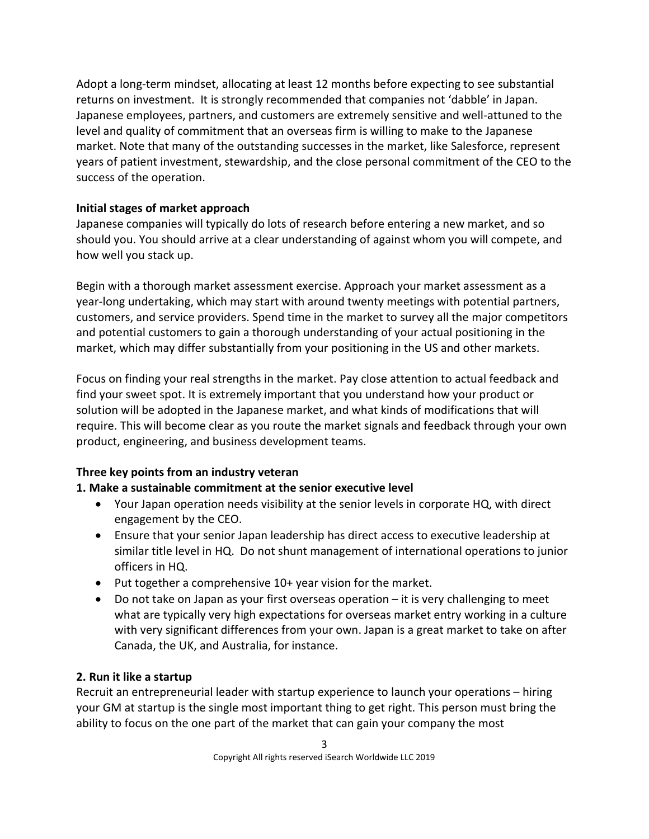Adopt a long-term mindset, allocating at least 12 months before expecting to see substantial returns on investment. It is strongly recommended that companies not 'dabble' in Japan. Japanese employees, partners, and customers are extremely sensitive and well-attuned to the level and quality of commitment that an overseas firm is willing to make to the Japanese market. Note that many of the outstanding successes in the market, like Salesforce, represent years of patient investment, stewardship, and the close personal commitment of the CEO to the success of the operation.

#### Initial stages of market approach

Japanese companies will typically do lots of research before entering a new market, and so should you. You should arrive at a clear understanding of against whom you will compete, and how well you stack up.

Begin with a thorough market assessment exercise. Approach your market assessment as a year-long undertaking, which may start with around twenty meetings with potential partners, customers, and service providers. Spend time in the market to survey all the major competitors and potential customers to gain a thorough understanding of your actual positioning in the market, which may differ substantially from your positioning in the US and other markets.

Focus on finding your real strengths in the market. Pay close attention to actual feedback and find your sweet spot. It is extremely important that you understand how your product or solution will be adopted in the Japanese market, and what kinds of modifications that will require. This will become clear as you route the market signals and feedback through your own product, engineering, and business development teams.

#### Three key points from an industry veteran

### 1. Make a sustainable commitment at the senior executive level

- Your Japan operation needs visibility at the senior levels in corporate HQ, with direct engagement by the CEO.
- Ensure that your senior Japan leadership has direct access to executive leadership at similar title level in HQ. Do not shunt management of international operations to junior officers in HQ.
- Put together a comprehensive 10+ year vision for the market.
- Do not take on Japan as your first overseas operation it is very challenging to meet what are typically very high expectations for overseas market entry working in a culture with very significant differences from your own. Japan is a great market to take on after Canada, the UK, and Australia, for instance.

#### 2. Run it like a startup

Recruit an entrepreneurial leader with startup experience to launch your operations – hiring your GM at startup is the single most important thing to get right. This person must bring the ability to focus on the one part of the market that can gain your company the most